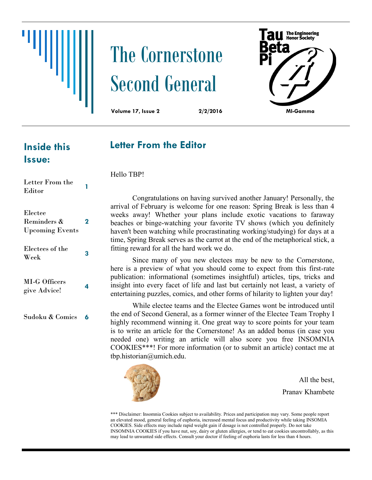

# The Cornerstone Second General

**au** The Engineering

**Volume 17, Issue 2 2/2/2016 MI-Gamma**

### **Letter From the Editor**

**Inside this Issue:**

Electee

Reminders &

Letter From the Editor **1**  Hello TBP!

Since many of you new electees may be new to the Cornerstone, here is a preview of what you should come to expect from this first-rate publication: informational (sometimes insightful) articles, tips, tricks and insight into every facet of life and last but certainly not least, a variety of entertaining puzzles, comics, and other forms of hilarity to lighten your day!

While electee teams and the Electee Games wont be introduced until the end of Second General, as a former winner of the Electee Team Trophy I highly recommend winning it. One great way to score points for your team is to write an article for the Cornerstone! As an added bonus (in case you needed one) writing an article will also score you free INSOMNIA COOKIES\*\*\*! For more information (or to submit an article) contact me at tbp.historian@umich.edu.



All the best, Pranav Khambete

\*\*\* Disclaimer: Insomnia Cookies subject to availability. Prices and participation may vary. Some people report an elevated mood, general feeling of euphoria, increased mental focus and productivity while taking INSOMIA COOKIES. Side effects may include rapid weight gain if dosage is not controlled properly. Do not take INSOMNIA COOKIES if you have nut, soy, dairy or gluten allergies, or tend to eat cookies uncontrollably, as this may lead to unwanted side effects. Consult your doctor if feeling of euphoria lasts for less than 4 hours.

Upcoming Events Electees of the Week **<sup>3</sup>** MI-G Officers give Advice! **<sup>4</sup>** Sudoku & Comics **6**

**2**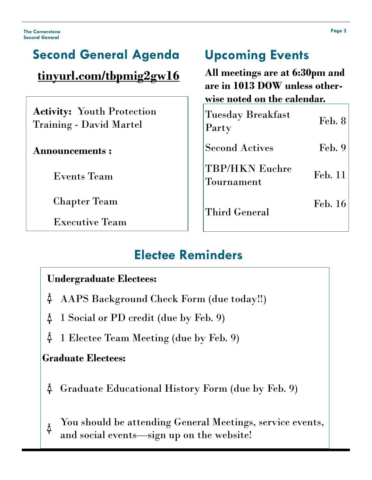#### **Second General Agenda [tinyurl.com/tbpmig2gw16](http://tinyurl.com/tbpmig2gf15) Activity:** Youth Protection Training - David Martel **Announcements :** Events Team Chapter Team Executive Team Tuesday Breakfast Party Bicanness<br>Party Feb. 8 Second Actives Feb. 9 TBP/HKN Euchre Tournament Feb. 11 Third General Feb. 16 **Upcoming Events All meetings are at 6:30pm and are in 1013 DOW unless otherwise noted on the calendar.**

# **Electee Reminders**

### **Undergraduate Electees:**

- $\check{\mathrm{A}}$ AAPS Background Check Form (due today!!)
- Å 1 Social or PD credit (due by Feb. 9)
- Å 1 Electee Team Meeting (due by Feb. 9)

### **Graduate Electees:**

- Graduate Educational History Form (due by Feb. 9) Ă
- You should be attending General Meetings, service events,  $\rm \AA$ and social events—sign up on the website!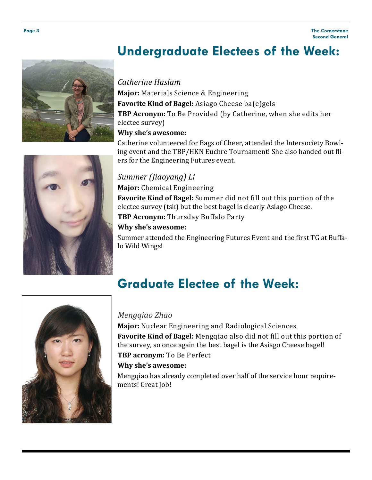# **Undergraduate Electees of the Week:**

#### *Catherine Haslam*

**Major:** Materials Science & Engineering **Favorite Kind of Bagel:** Asiago Cheese ba(e)gels **TBP Acronym:** To Be Provided (by Catherine, when she edits her electee survey) **Why she's awesome:** 

Catherine volunteered for Bags of Cheer, attended the Intersociety Bowling event and the TBP/HKN Euchre Tournament! She also handed out fliers for the Engineering Futures event.

#### *Summer (Jiaoyang) Li*

**Major:** Chemical Engineering

**Favorite Kind of Bagel:** Summer did not fill out this portion of the electee survey (tsk) but the best bagel is clearly Asiago Cheese.

**TBP Acronym:** Thursday Buffalo Party

#### **Why she's awesome:**

Summer attended the Engineering Futures Event and the first TG at Buffalo Wild Wings!

# **Graduate Electee of the Week:**

#### *Mengqiao Zhao*

**Major:** Nuclear Engineering and Radiological Sciences **Favorite Kind of Bagel:** Mengqiao also did not fill out this portion of the survey, so once again the best bagel is the Asiago Cheese bagel!

**TBP acronym:** To Be Perfect

#### **Why she's awesome:**

Mengqiao has already completed over half of the service hour requirements! Great Job!



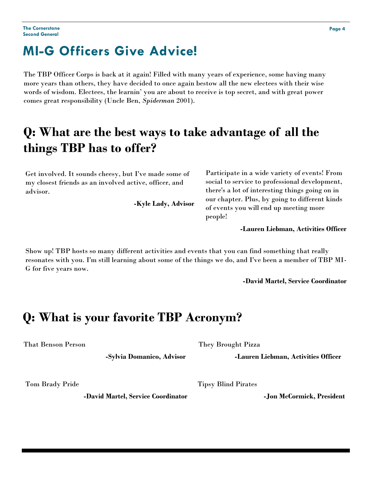# **MI-G Officers Give Advice!**

The TBP Officer Corps is back at it again! Filled with many years of experience, some having many more years than others, they have decided to once again bestow all the new electees with their wise words of wisdom. Electees, the learnin' you are about to receive is top secret, and with great power comes great responsibility (Uncle Ben, *Spiderman* 2001).

# **Q: What are the best ways to take advantage of all the things TBP has to offer?**

Get involved. It sounds cheesy, but I've made some of my closest friends as an involved active, officer, and advisor.

**-Kyle Lady, Advisor**

Participate in a wide variety of events! From social to service to professional development, there's a lot of interesting things going on in our chapter. Plus, by going to different kinds of events you will end up meeting more people!

**-Lauren Liebman, Activities Officer** 

Show up! TBP hosts so many different activities and events that you can find something that really resonates with you. I'm still learning about some of the things we do, and I've been a member of TBP MI-G for five years now.

**-David Martel, Service Coordinator**

### **Q: What is your favorite TBP Acronym?**

That Benson Person

**-Sylvia Domanico, Advisor**

Tom Brady Pride

**-David Martel, Service Coordinator**

They Brought Pizza

**-Lauren Liebman, Activities Officer**

Tipsy Blind Pirates

**-Jon McCormick, President**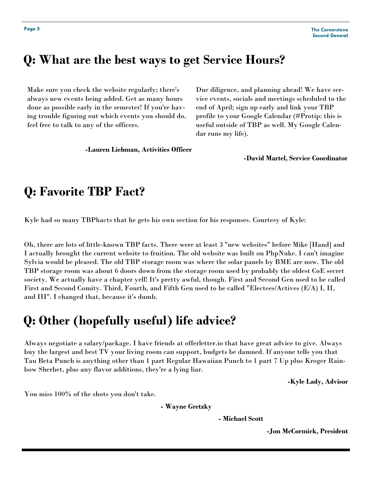# **Q: What are the best ways to get Service Hours?**

Make sure you check the website regularly; there's always new events being added. Get as many hours done as possible early in the semester! If you're having trouble figuring out which events you should do, feel free to talk to any of the officers.

**-Lauren Liebman, Activities Officer**

Due diligence, and planning ahead! We have service events, socials and meetings scheduled to the end of April; sign up early and link your TBP profile to your Google Calendar (#Protip: this is useful outside of TBP as well. My Google Calendar runs my life).

**-David Martel, Service Coordinator**

### **Q: Favorite TBP Fact?**

Kyle had so many TBPhacts that he gets his own section for his responses. Courtesy of Kyle:

Oh, there are lots of little-known TBP facts. There were at least 3 "new websites" before Mike [Hand] and I actually brought the current website to fruition. The old website was built on PhpNuke. I can't imagine Sylvia would be pleased. The old TBP storage room was where the solar panels by BME are now. The old TBP storage room was about 6 doors down from the storage room used by probably the oldest CoE secret society. We actually have a chapter yell! It's pretty awful, though. First and Second Gen used to be called First and Second Comity. Third, Fourth, and Fifth Gen used to be called "Electees/Actives (E/A) I, II, and III". I changed that, because it's dumb.

### **Q: Other (hopefully useful) life advice?**

Always negotiate a salary/package. I have friends at offerletter.io that have great advice to give. Always buy the largest and best TV your living room can support, budgets be damned. If anyone tells you that Tau Beta Punch is anything other than 1 part Regular Hawaiian Punch to 1 part 7 Up plus Kroger Rainbow Sherbet, plus any flavor additions, they're a lying liar.

**-Kyle Lady, Advisor**

You miss 100% of the shots you don't take.

**- Wayne Gretzky** 

**- Michael Scott** 

**-Jon McCormick, President**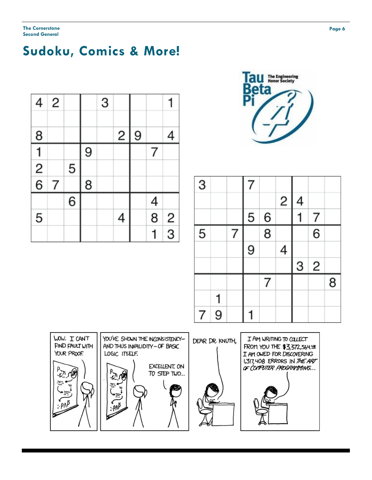# **Sudoku, Comics & More!**

| 4              | 2 |   |   | 3 |   |   |               |               |
|----------------|---|---|---|---|---|---|---------------|---------------|
| $\overline{8}$ |   |   |   |   | 2 | 9 |               | 4             |
|                |   |   | 9 |   |   |   | 7             |               |
| $\frac{1}{2}$  |   | 5 |   |   |   |   |               |               |
|                | 7 |   | 8 |   |   |   |               |               |
|                |   | 6 |   |   |   |   |               |               |
| 5              |   |   |   |   | 4 |   | $\frac{4}{8}$ |               |
|                |   |   |   |   |   |   |               | $\frac{2}{3}$ |



| $\overline{3}$ |   |   | 7 |                |   |                          |                |   |
|----------------|---|---|---|----------------|---|--------------------------|----------------|---|
|                |   |   |   |                | 2 | $\overline{\mathcal{A}}$ |                |   |
|                |   |   | 5 | 6              |   |                          | 7              |   |
| 5              |   | 7 |   | $\overline{8}$ |   |                          | 6              |   |
|                |   |   | 9 |                | 4 |                          |                |   |
|                |   |   |   |                |   | 3                        | $\overline{c}$ |   |
|                |   |   |   | 7              |   |                          |                | 8 |
|                |   |   |   |                |   |                          |                |   |
| 7              | 9 |   |   |                |   |                          |                |   |